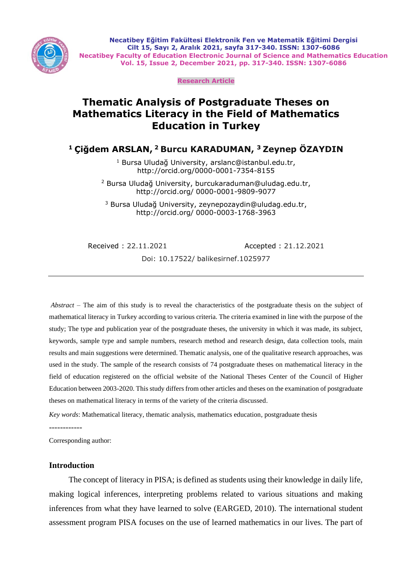

**Necatibey Eğitim Fakültesi Elektronik Fen ve Matematik Eğitimi Dergisi Cilt 15, Sayı 2, Aralık 2021, sayfa 317-340. ISSN: 1307-6086 Necatibey Faculty of Education Electronic Journal of Science and Mathematics Education Vol. 15, Issue 2, December 2021, pp. 317-340. ISSN: 1307-6086**

**Research Article**

# **Thematic Analysis of Postgraduate Theses on Mathematics Literacy in the Field of Mathematics Education in Turkey**

**<sup>1</sup> Çiğdem ARSLAN, <sup>2</sup> Burcu KARADUMAN, <sup>3</sup> Zeynep ÖZAYDIN**

<sup>1</sup> Bursa Uludağ University, arslanc@istanbul.edu.tr, http://orcid.org/0000-0001-7354-8155

<sup>2</sup> Bursa Uludağ University, burcukaraduman@uludag.edu.tr, http://orcid.org/ 0000-0001-9809-9077

<sup>3</sup> Bursa Uludağ University, zeynepozaydin@uludag.edu.tr, http://orcid.org/ 0000-0003-1768-3963

Received : 22.11.2021 Accepted : 21.12.2021

Doi: 10.17522/ balikesirnef.1025977

*Abstract* – The aim of this study is to reveal the characteristics of the postgraduate thesis on the subject of mathematical literacy in Turkey according to various criteria. The criteria examined in line with the purpose of the study; The type and publication year of the postgraduate theses, the university in which it was made, its subject, keywords, sample type and sample numbers, research method and research design, data collection tools, main results and main suggestions were determined. Thematic analysis, one of the qualitative research approaches, was used in the study. The sample of the research consists of 74 postgraduate theses on mathematical literacy in the field of education registered on the official website of the National Theses Center of the Council of Higher Education between 2003-2020. This study differs from other articles and theses on the examination of postgraduate theses on mathematical literacy in terms of the variety of the criteria discussed.

*Key words*: Mathematical literacy, thematic analysis, mathematics education, postgraduate thesis

------------

Corresponding author:

# **Introduction**

The concept of literacy in PISA; is defined as students using their knowledge in daily life, making logical inferences, interpreting problems related to various situations and making inferences from what they have learned to solve (EARGED, 2010). The international student assessment program PISA focuses on the use of learned mathematics in our lives. The part of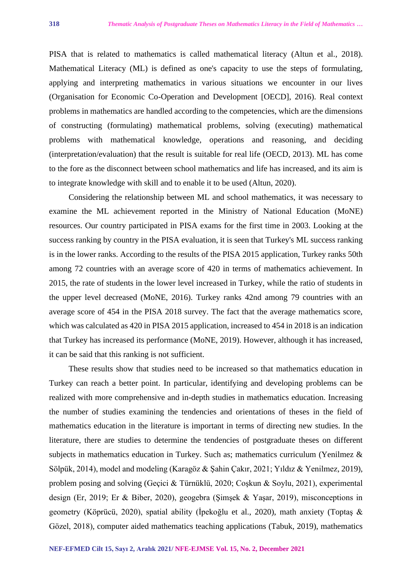PISA that is related to mathematics is called mathematical literacy (Altun et al., 2018). Mathematical Literacy (ML) is defined as one's capacity to use the steps of formulating, applying and interpreting mathematics in various situations we encounter in our lives (Organisation for Economic Co-Operation and Development [OECD], 2016). Real context problems in mathematics are handled according to the competencies, which are the dimensions of constructing (formulating) mathematical problems, solving (executing) mathematical problems with mathematical knowledge, operations and reasoning, and deciding (interpretation/evaluation) that the result is suitable for real life (OECD, 2013). ML has come to the fore as the disconnect between school mathematics and life has increased, and its aim is to integrate knowledge with skill and to enable it to be used (Altun, 2020).

Considering the relationship between ML and school mathematics, it was necessary to examine the ML achievement reported in the Ministry of National Education (MoNE) resources. Our country participated in PISA exams for the first time in 2003. Looking at the success ranking by country in the PISA evaluation, it is seen that Turkey's ML success ranking is in the lower ranks. According to the results of the PISA 2015 application, Turkey ranks 50th among 72 countries with an average score of 420 in terms of mathematics achievement. In 2015, the rate of students in the lower level increased in Turkey, while the ratio of students in the upper level decreased (MoNE, 2016). Turkey ranks 42nd among 79 countries with an average score of 454 in the PISA 2018 survey. The fact that the average mathematics score, which was calculated as 420 in PISA 2015 application, increased to 454 in 2018 is an indication that Turkey has increased its performance (MoNE, 2019). However, although it has increased, it can be said that this ranking is not sufficient.

These results show that studies need to be increased so that mathematics education in Turkey can reach a better point. In particular, identifying and developing problems can be realized with more comprehensive and in-depth studies in mathematics education. Increasing the number of studies examining the tendencies and orientations of theses in the field of mathematics education in the literature is important in terms of directing new studies. In the literature, there are studies to determine the tendencies of postgraduate theses on different subjects in mathematics education in Turkey. Such as; mathematics curriculum (Yenilmez & Sölpük, 2014), model and modeling (Karagöz & Şahin Çakır, 2021; Yıldız & Yenilmez, 2019), problem posing and solving (Geçici & Türnüklü, 2020; Coşkun & Soylu, 2021), experimental design (Er, 2019; Er & Biber, 2020), geogebra (Şimşek & Yaşar, 2019), misconceptions in geometry (Köprücü, 2020), spatial ability (İpekoğlu et al., 2020), math anxiety (Toptaş & Gözel, 2018), computer aided mathematics teaching applications (Tabuk, 2019), mathematics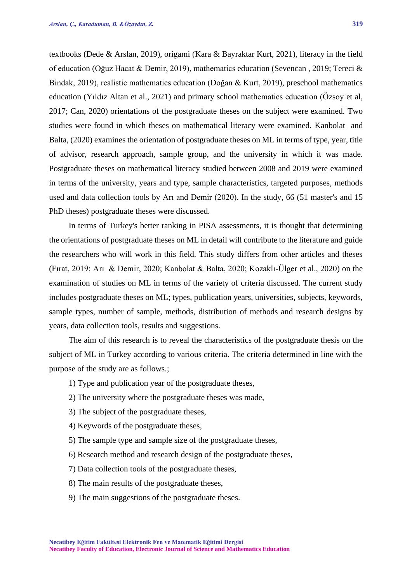textbooks (Dede & Arslan, 2019), origami (Kara & Bayraktar Kurt, 2021), literacy in the field of education (Oğuz Hacat & Demir, 2019), mathematics education (Sevencan , 2019; Tereci & Bindak, 2019), realistic mathematics education (Doğan & Kurt, 2019), preschool mathematics education (Yıldız Altan et al., 2021) and primary school mathematics education (Özsoy et al, 2017; Can, 2020) orientations of the postgraduate theses on the subject were examined. Two studies were found in which theses on mathematical literacy were examined. Kanbolat and Balta, (2020) examines the orientation of postgraduate theses on ML in terms of type, year, title of advisor, research approach, sample group, and the university in which it was made. Postgraduate theses on mathematical literacy studied between 2008 and 2019 were examined in terms of the university, years and type, sample characteristics, targeted purposes, methods used and data collection tools by Arı and Demir (2020). In the study, 66 (51 master's and 15 PhD theses) postgraduate theses were discussed.

In terms of Turkey's better ranking in PISA assessments, it is thought that determining the orientations of postgraduate theses on ML in detail will contribute to the literature and guide the researchers who will work in this field. This study differs from other articles and theses (Fırat, 2019; Arı & Demir, 2020; Kanbolat & Balta, 2020; Kozaklı-Ülger et al., 2020) on the examination of studies on ML in terms of the variety of criteria discussed. The current study includes postgraduate theses on ML; types, publication years, universities, subjects, keywords, sample types, number of sample, methods, distribution of methods and research designs by years, data collection tools, results and suggestions.

The aim of this research is to reveal the characteristics of the postgraduate thesis on the subject of ML in Turkey according to various criteria. The criteria determined in line with the purpose of the study are as follows.;

- 1) Type and publication year of the postgraduate theses,
- 2) The university where the postgraduate theses was made,
- 3) The subject of the postgraduate theses,
- 4) Keywords of the postgraduate theses,
- 5) The sample type and sample size of the postgraduate theses,
- 6) Research method and research design of the postgraduate theses,
- 7) Data collection tools of the postgraduate theses,
- 8) The main results of the postgraduate theses,
- 9) The main suggestions of the postgraduate theses.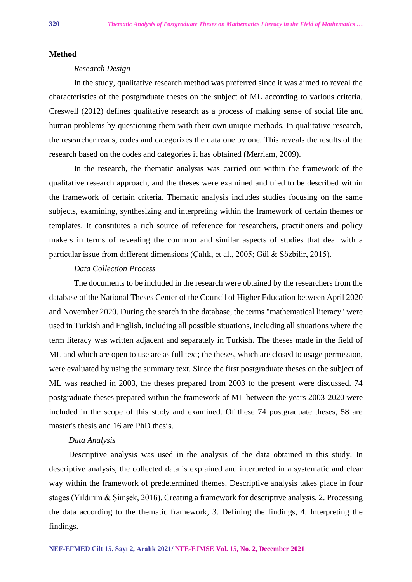#### **Method**

# *Research Design*

In the study, qualitative research method was preferred since it was aimed to reveal the characteristics of the postgraduate theses on the subject of ML according to various criteria. Creswell (2012) defines qualitative research as a process of making sense of social life and human problems by questioning them with their own unique methods. In qualitative research, the researcher reads, codes and categorizes the data one by one. This reveals the results of the research based on the codes and categories it has obtained (Merriam, 2009).

In the research, the thematic analysis was carried out within the framework of the qualitative research approach, and the theses were examined and tried to be described within the framework of certain criteria. Thematic analysis includes studies focusing on the same subjects, examining, synthesizing and interpreting within the framework of certain themes or templates. It constitutes a rich source of reference for researchers, practitioners and policy makers in terms of revealing the common and similar aspects of studies that deal with a particular issue from different dimensions (Çalık, et al., 2005; Gül & Sözbilir, 2015).

# *Data Collection Process*

The documents to be included in the research were obtained by the researchers from the database of the National Theses Center of the Council of Higher Education between April 2020 and November 2020. During the search in the database, the terms "mathematical literacy" were used in Turkish and English, including all possible situations, including all situations where the term literacy was written adjacent and separately in Turkish. The theses made in the field of ML and which are open to use are as full text; the theses, which are closed to usage permission, were evaluated by using the summary text. Since the first postgraduate theses on the subject of ML was reached in 2003, the theses prepared from 2003 to the present were discussed. 74 postgraduate theses prepared within the framework of ML between the years 2003-2020 were included in the scope of this study and examined. Of these 74 postgraduate theses, 58 are master's thesis and 16 are PhD thesis.

# *Data Analysis*

Descriptive analysis was used in the analysis of the data obtained in this study. In descriptive analysis, the collected data is explained and interpreted in a systematic and clear way within the framework of predetermined themes. Descriptive analysis takes place in four stages (Yıldırım & Şimşek, 2016). Creating a framework for descriptive analysis, 2. Processing the data according to the thematic framework, 3. Defining the findings, 4. Interpreting the findings.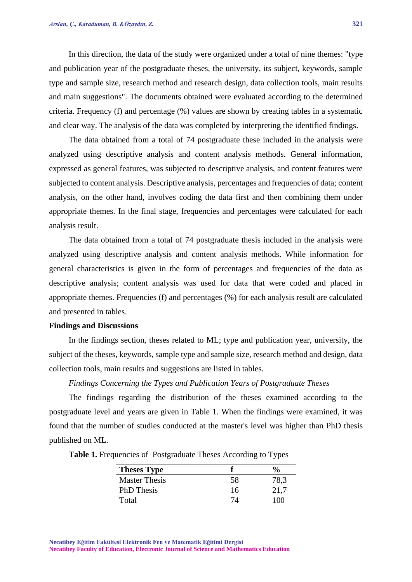In this direction, the data of the study were organized under a total of nine themes: "type and publication year of the postgraduate theses, the university, its subject, keywords, sample type and sample size, research method and research design, data collection tools, main results and main suggestions". The documents obtained were evaluated according to the determined criteria. Frequency (f) and percentage (%) values are shown by creating tables in a systematic and clear way. The analysis of the data was completed by interpreting the identified findings.

The data obtained from a total of 74 postgraduate these included in the analysis were analyzed using descriptive analysis and content analysis methods. General information, expressed as general features, was subjected to descriptive analysis, and content features were subjected to content analysis. Descriptive analysis, percentages and frequencies of data; content analysis, on the other hand, involves coding the data first and then combining them under appropriate themes. In the final stage, frequencies and percentages were calculated for each analysis result.

The data obtained from a total of 74 postgraduate thesis included in the analysis were analyzed using descriptive analysis and content analysis methods. While information for general characteristics is given in the form of percentages and frequencies of the data as descriptive analysis; content analysis was used for data that were coded and placed in appropriate themes. Frequencies (f) and percentages (%) for each analysis result are calculated and presented in tables.

#### **Findings and Discussions**

In the findings section, theses related to ML; type and publication year, university, the subject of the theses, keywords, sample type and sample size, research method and design, data collection tools, main results and suggestions are listed in tables.

# *Findings Concerning the Types and Publication Years of Postgraduate Theses*

The findings regarding the distribution of the theses examined according to the postgraduate level and years are given in Table 1. When the findings were examined, it was found that the number of studies conducted at the master's level was higher than PhD thesis published on ML.

| <b>Theses Type</b>   |    | $\frac{6}{6}$ |
|----------------------|----|---------------|
| <b>Master Thesis</b> | 58 | 78,3          |
| <b>PhD</b> Thesis    | 16 | 21,7          |
| Total                |    | 17 Y N        |

**Table 1.** Frequencies of Postgraduate Theses According to Types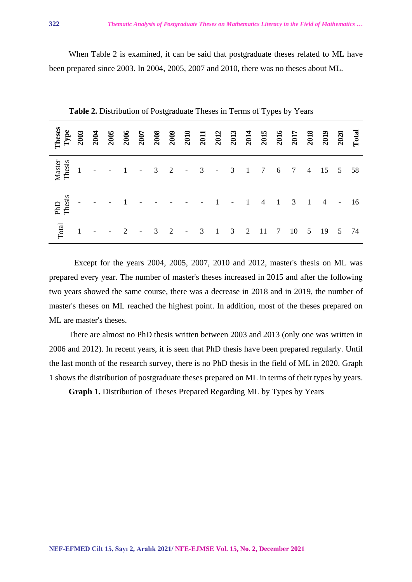When Table 2 is examined, it can be said that postgraduate theses related to ML have been prepared since 2003. In 2004, 2005, 2007 and 2010, there was no theses about ML.

| Total | $\boxed{1}$ |  |  |  |  |  |  | $ -$ 2 $-$ 3 2 $-$ 3 1 3 2 11 7 10 5 19 5 74 |  |  |
|-------|-------------|--|--|--|--|--|--|----------------------------------------------|--|--|

**Table 2.** Distribution of Postgraduate Theses in Terms of Types by Years

Except for the years 2004, 2005, 2007, 2010 and 2012, master's thesis on ML was prepared every year. The number of master's theses increased in 2015 and after the following two years showed the same course, there was a decrease in 2018 and in 2019, the number of master's theses on ML reached the highest point. In addition, most of the theses prepared on ML are master's theses.

There are almost no PhD thesis written between 2003 and 2013 (only one was written in 2006 and 2012). In recent years, it is seen that PhD thesis have been prepared regularly. Until the last month of the research survey, there is no PhD thesis in the field of ML in 2020. Graph 1 shows the distribution of postgraduate theses prepared on ML in terms of their types by years.

**Graph 1.** Distribution of Theses Prepared Regarding ML by Types by Years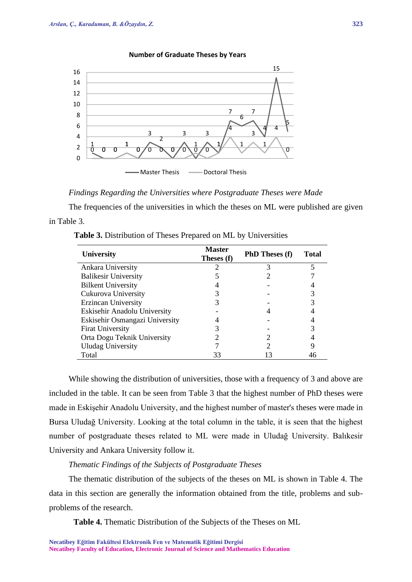

#### **Number of Graduate Theses by Years**

*Findings Regarding the Universities where Postgraduate Theses were Made* 

The frequencies of the universities in which the theses on ML were published are given in Table 3.

| Table 3. Distribution of Theses Prepared on ML by Universities |  |  |  |
|----------------------------------------------------------------|--|--|--|
|----------------------------------------------------------------|--|--|--|

| University                     | <b>Master</b><br>Theses (f) | <b>PhD Theses (f)</b> | <b>Total</b> |
|--------------------------------|-----------------------------|-----------------------|--------------|
| Ankara University              |                             |                       |              |
| <b>Balikesir University</b>    |                             |                       |              |
| <b>Bilkent University</b>      |                             |                       |              |
| Cukurova University            |                             |                       |              |
| Erzincan University            |                             |                       |              |
| Eskisehir Anadolu University   |                             |                       |              |
| Eskisehir Osmangazi University |                             |                       |              |
| <b>Firat University</b>        |                             |                       |              |
| Orta Dogu Teknik University    |                             |                       |              |
| <b>Uludag University</b>       |                             |                       | 9            |
| Total                          | 33                          | 13                    | 46           |

While showing the distribution of universities, those with a frequency of 3 and above are included in the table. It can be seen from Table 3 that the highest number of PhD theses were made in Eskişehir Anadolu University, and the highest number of master's theses were made in Bursa Uludağ University. Looking at the total column in the table, it is seen that the highest number of postgraduate theses related to ML were made in Uludağ University. Balıkesir University and Ankara University follow it.

# *Thematic Findings of the Subjects of Postgraduate Theses*

The thematic distribution of the subjects of the theses on ML is shown in Table 4. The data in this section are generally the information obtained from the title, problems and subproblems of the research.

**Table 4.** Thematic Distribution of the Subjects of the Theses on ML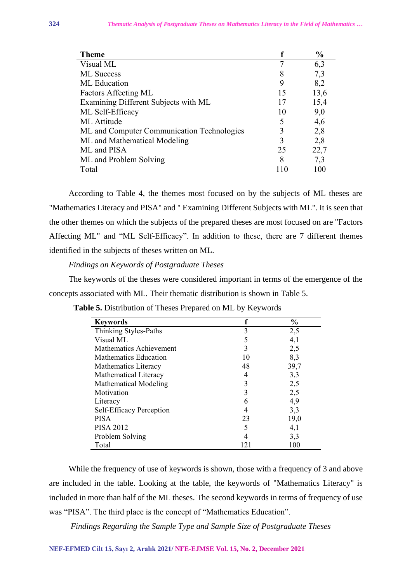| <b>Theme</b>                               |    | $\frac{0}{0}$ |
|--------------------------------------------|----|---------------|
| Visual ML                                  |    | 6,3           |
| <b>ML</b> Success                          | 8  | 7,3           |
| <b>ML</b> Education                        | 9  | 8,2           |
| Factors Affecting ML                       | 15 | 13,6          |
| Examining Different Subjects with ML       | 17 | 15,4          |
| ML Self-Efficacy                           | 10 | 9,0           |
| <b>ML</b> Attitude                         | 5  | 4,6           |
| ML and Computer Communication Technologies | 3  | 2,8           |
| ML and Mathematical Modeling               | 3  | 2,8           |
| ML and PISA                                | 25 | 22,7          |
| ML and Problem Solving                     | 8  | 7,3           |
| Total                                      |    | 100           |

According to Table 4, the themes most focused on by the subjects of ML theses are "Mathematics Literacy and PISA" and " Examining Different Subjects with ML". It is seen that the other themes on which the subjects of the prepared theses are most focused on are "Factors Affecting ML" and "ML Self-Efficacy". In addition to these, there are 7 different themes identified in the subjects of theses written on ML.

# *Findings on Keywords of Postgraduate Theses*

The keywords of the theses were considered important in terms of the emergence of the concepts associated with ML. Their thematic distribution is shown in Table 5.

| <b>Keywords</b>                | f   | $\frac{0}{0}$ |
|--------------------------------|-----|---------------|
| Thinking Styles-Paths          | 3   | 2,5           |
| Visual ML                      | 5   | 4,1           |
| <b>Mathematics Achievement</b> | 3   | 2,5           |
| Mathematics Education          | 10  | 8,3           |
| Mathematics Literacy           | 48  | 39,7          |
| Mathematical Literacy          | 4   | 3,3           |
| <b>Mathematical Modeling</b>   | 3   | 2,5           |
| Motivation                     | 3   | 2,5           |
| Literacy                       | 6   | 4,9           |
| Self-Efficacy Perception       |     | 3,3           |
| <b>PISA</b>                    | 23  | 19,0          |
| <b>PISA 2012</b>               | 5   | 4,1           |
| Problem Solving                | 4   | 3,3           |
| Total                          | 121 | 100           |

**Table 5.** Distribution of Theses Prepared on ML by Keywords

While the frequency of use of keywords is shown, those with a frequency of 3 and above are included in the table. Looking at the table, the keywords of "Mathematics Literacy" is included in more than half of the ML theses. The second keywords in terms of frequency of use was "PISA". The third place is the concept of "Mathematics Education".

*Findings Regarding the Sample Type and Sample Size of Postgraduate Theses*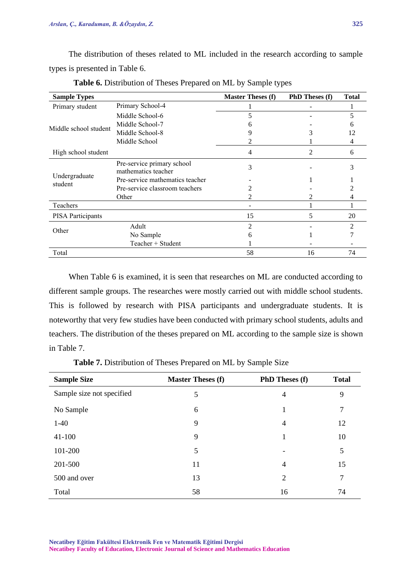The distribution of theses related to ML included in the research according to sample types is presented in Table 6.

| <b>Sample Types</b>      |                                                   | <b>Master Theses (f)</b> | <b>PhD Theses (f)</b> | <b>Total</b>   |
|--------------------------|---------------------------------------------------|--------------------------|-----------------------|----------------|
| Primary student          | Primary School-4                                  |                          |                       |                |
|                          | Middle School-6                                   | 5                        |                       | 5              |
| Middle school student    | Middle School-7                                   | h                        |                       |                |
|                          | Middle School-8                                   | 9                        |                       | 12             |
|                          | Middle School                                     |                          |                       | 4              |
| High school student      |                                                   | 4                        | 2                     | 6              |
|                          | Pre-service primary school<br>mathematics teacher | 3                        |                       | 3              |
| Undergraduate<br>student | Pre-service mathematics teacher                   |                          |                       |                |
|                          | Pre-service classroom teachers                    |                          |                       |                |
|                          | Other                                             |                          |                       |                |
| Teachers                 |                                                   |                          |                       |                |
| PISA Participants        |                                                   | 15                       | 5                     | 20             |
|                          | Adult                                             | 2                        |                       | $\mathfrak{D}$ |
| Other                    | No Sample                                         | h                        |                       |                |
|                          | Teacher + Student                                 |                          |                       |                |
| Total                    |                                                   | 58                       | 16                    | 74             |

**Table 6.** Distribution of Theses Prepared on ML by Sample types

When Table 6 is examined, it is seen that researches on ML are conducted according to different sample groups. The researches were mostly carried out with middle school students. This is followed by research with PISA participants and undergraduate students. It is noteworthy that very few studies have been conducted with primary school students, adults and teachers. The distribution of the theses prepared on ML according to the sample size is shown in Table 7.

**Table 7.** Distribution of Theses Prepared on ML by Sample Size

| <b>Sample Size</b>        | <b>Master Theses (f)</b> | <b>PhD Theses (f)</b>    | <b>Total</b> |
|---------------------------|--------------------------|--------------------------|--------------|
| Sample size not specified | 5                        | $\overline{4}$           | 9            |
| No Sample                 | 6                        | 1                        | 7            |
| $1-40$                    | 9                        | $\overline{4}$           | 12           |
| $41 - 100$                | 9                        | 1                        | 10           |
| 101-200                   | 5                        | $\overline{\phantom{a}}$ | 5            |
| 201-500                   | 11                       | $\overline{4}$           | 15           |
| 500 and over              | 13                       | $\overline{2}$           | 7            |
| Total                     | 58                       | 16                       | 74           |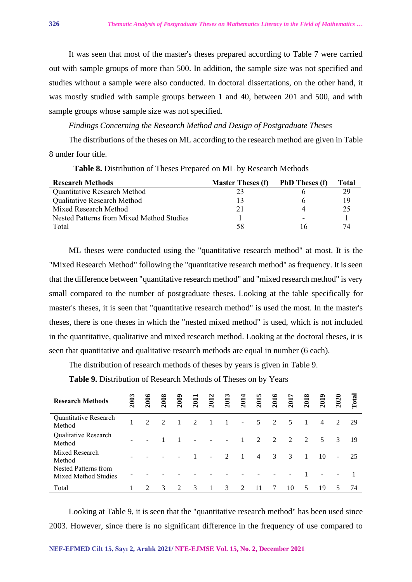It was seen that most of the master's theses prepared according to Table 7 were carried out with sample groups of more than 500. In addition, the sample size was not specified and studies without a sample were also conducted. In doctoral dissertations, on the other hand, it was mostly studied with sample groups between 1 and 40, between 201 and 500, and with sample groups whose sample size was not specified.

*Findings Concerning the Research Method and Design of Postgraduate Theses*

The distributions of the theses on ML according to the research method are given in Table 8 under four title.

| <b>Research Methods</b>                   | <b>Master Theses (f)</b> | <b>PhD</b> Theses (f) | Total |
|-------------------------------------------|--------------------------|-----------------------|-------|
| Quantitative Research Method              |                          |                       | 29    |
| Qualitative Research Method               |                          |                       | 19    |
| Mixed Research Method                     | 21                       |                       |       |
| Nested Patterns from Mixed Method Studies |                          |                       |       |
| Total                                     | 58                       |                       | 74    |

**Table 8.** Distribution of Theses Prepared on ML by Research Methods

ML theses were conducted using the "quantitative research method" at most. It is the "Mixed Research Method" following the "quantitative research method" as frequency. It is seen that the difference between "quantitative research method" and "mixed research method" is very small compared to the number of postgraduate theses. Looking at the table specifically for master's theses, it is seen that "quantitative research method" is used the most. In the master's theses, there is one theses in which the "nested mixed method" is used, which is not included in the quantitative, qualitative and mixed research method. Looking at the doctoral theses, it is seen that quantitative and qualitative research methods are equal in number (6 each).

The distribution of research methods of theses by years is given in Table 9.

| <b>Research Methods</b>                             | 2003 | 2006                        | 2008          | <b>2009</b> | 201 | 2012           | 2013           | 201                         | 201            | 201           | 201            | 201           | 201            | 202                         | Total |
|-----------------------------------------------------|------|-----------------------------|---------------|-------------|-----|----------------|----------------|-----------------------------|----------------|---------------|----------------|---------------|----------------|-----------------------------|-------|
| Quantitative Research<br>Method                     |      | $\mathcal{D}_{\mathcal{L}}$ | $\mathcal{D}$ |             | 2   |                |                | $\overline{\phantom{a}}$    | 5              | 2             | 5              |               | $\overline{4}$ | $\mathcal{D}_{\mathcal{L}}$ | 29    |
| Qualitative Research<br>Method                      |      |                             |               |             |     |                | $\sim$         | 1                           | $\mathfrak{D}$ | $\mathcal{L}$ | $\overline{2}$ | $\mathcal{D}$ | 5              | 3                           | 19    |
| Mixed Research<br>Method                            |      |                             |               |             |     | $\overline{a}$ | $\mathfrak{D}$ | $\overline{1}$              | $\overline{4}$ | 3             | 3              |               | 10             |                             | 25    |
| <b>Nested Patterns from</b><br>Mixed Method Studies |      |                             |               |             |     |                |                |                             |                |               |                |               |                |                             |       |
| Total                                               |      |                             | $\mathcal{R}$ |             | 3   |                | 3              | $\mathcal{D}_{\mathcal{A}}$ |                |               | 10             | 5             | 19             |                             | 74    |

**Table 9.** Distribution of Research Methods of Theses on by Years

Looking at Table 9, it is seen that the "quantitative research method" has been used since 2003. However, since there is no significant difference in the frequency of use compared to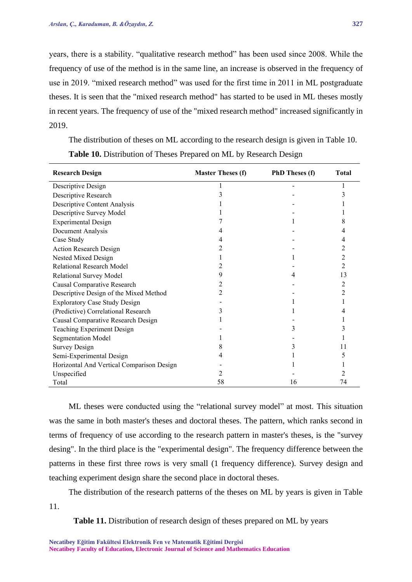years, there is a stability. "qualitative research method" has been used since 2008. While the frequency of use of the method is in the same line, an increase is observed in the frequency of use in 2019. "mixed research method" was used for the first time in 2011 in ML postgraduate theses. It is seen that the "mixed research method" has started to be used in ML theses mostly in recent years. The frequency of use of the "mixed research method" increased significantly in 2019.

| <b>Research Design</b>                    | <b>Master Theses (f)</b> | <b>PhD</b> Theses (f) | <b>Total</b> |
|-------------------------------------------|--------------------------|-----------------------|--------------|
| Descriptive Design                        |                          |                       |              |
| Descriptive Research                      | 3                        |                       |              |
| Descriptive Content Analysis              |                          |                       |              |
| Descriptive Survey Model                  |                          |                       |              |
| <b>Experimental Design</b>                |                          |                       | 8            |
| Document Analysis                         |                          |                       |              |
| Case Study                                | 4                        |                       |              |
| <b>Action Research Design</b>             | 2                        |                       |              |
| Nested Mixed Design                       |                          |                       |              |
| Relational Research Model                 | 2                        |                       |              |
| Relational Survey Model                   | 9                        |                       | 13           |
| Causal Comparative Research               |                          |                       |              |
| Descriptive Design of the Mixed Method    | 2                        |                       | 2            |
| <b>Exploratory Case Study Design</b>      |                          |                       |              |
| (Predictive) Correlational Research       | 3                        |                       |              |
| Causal Comparative Research Design        |                          |                       |              |
| Teaching Experiment Design                |                          | 3                     |              |
| <b>Segmentation Model</b>                 |                          |                       |              |
| <b>Survey Design</b>                      | 8                        | 3                     | 11           |
| Semi-Experimental Design                  |                          |                       |              |
| Horizontal And Vertical Comparison Design |                          |                       |              |
| Unspecified                               | 2                        |                       |              |
| Total                                     | 58                       | 16                    | 74           |

The distribution of theses on ML according to the research design is given in Table 10. **Table 10.** Distribution of Theses Prepared on ML by Research Design

ML theses were conducted using the "relational survey model" at most. This situation was the same in both master's theses and doctoral theses. The pattern, which ranks second in terms of frequency of use according to the research pattern in master's theses, is the "survey desing". In the third place is the "experimental design". The frequency difference between the patterns in these first three rows is very small (1 frequency difference). Survey design and teaching experiment design share the second place in doctoral theses.

The distribution of the research patterns of the theses on ML by years is given in Table 11.

Table 11. Distribution of research design of theses prepared on ML by years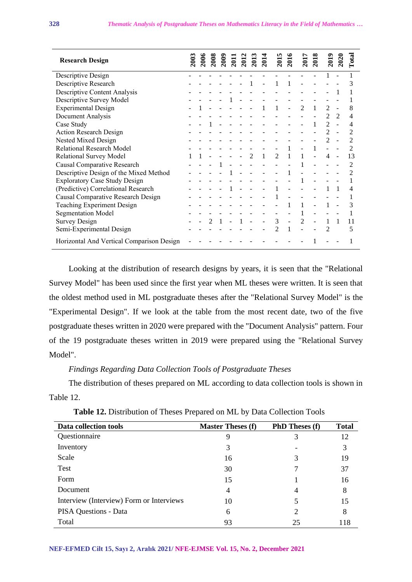| <b>Research Design</b>                    | <b>2003</b> | 2006 | 2008 | <b>2009</b> | 2011 | 2012 | 201                         | 201          | $\overline{201}$ | 2016 | $\overline{201}$ | 2018 | <b>2019</b>    | 2020                        | $\Gamma$ otal |
|-------------------------------------------|-------------|------|------|-------------|------|------|-----------------------------|--------------|------------------|------|------------------|------|----------------|-----------------------------|---------------|
| Descriptive Design                        |             |      |      |             |      |      |                             |              |                  |      |                  |      |                |                             |               |
| Descriptive Research                      |             |      |      |             |      |      |                             |              |                  |      |                  |      |                |                             | 3             |
| Descriptive Content Analysis              |             |      |      |             |      |      |                             |              |                  |      |                  |      |                |                             |               |
| Descriptive Survey Model                  |             |      |      |             |      |      |                             |              |                  |      |                  |      |                |                             |               |
| <b>Experimental Design</b>                |             |      |      |             |      |      |                             |              |                  |      | $\mathfrak{D}$   | 1    | 2              |                             | 8             |
| Document Analysis                         |             |      |      |             |      |      |                             |              |                  |      |                  |      | $\mathfrak{D}$ | $\mathcal{D}_{\mathcal{L}}$ |               |
| Case Study                                |             |      |      |             |      |      |                             |              |                  |      |                  |      | $\mathfrak{D}$ |                             |               |
| <b>Action Research Design</b>             |             |      |      |             |      |      |                             |              |                  |      |                  |      |                |                             |               |
| Nested Mixed Design                       |             |      |      |             |      |      |                             |              |                  |      |                  |      |                |                             |               |
| Relational Research Model                 |             |      |      |             |      |      |                             |              |                  |      |                  |      |                |                             |               |
| Relational Survey Model                   |             |      |      |             |      |      | $\mathcal{D}_{\mathcal{L}}$ | $\mathbf{1}$ | $\overline{2}$   | 1    |                  |      | 4              |                             | 13            |
| Causal Comparative Research               |             |      |      |             |      |      |                             |              |                  |      |                  |      |                |                             |               |
| Descriptive Design of the Mixed Method    |             |      |      |             |      |      |                             |              |                  |      |                  |      |                |                             |               |
| <b>Exploratory Case Study Design</b>      |             |      |      |             |      |      |                             |              |                  |      |                  |      |                |                             |               |
| (Predictive) Correlational Research       |             |      |      |             |      |      |                             |              |                  |      |                  |      |                |                             | 4             |
| Causal Comparative Research Design        |             |      |      |             |      |      |                             |              |                  |      |                  |      |                |                             |               |
| Teaching Experiment Design                |             |      |      |             |      |      |                             |              |                  |      |                  |      |                |                             | 3             |
| <b>Segmentation Model</b>                 |             |      |      |             |      |      |                             |              |                  |      |                  |      |                |                             |               |
| <b>Survey Design</b>                      |             |      |      |             |      |      |                             |              | 3                |      | $\mathfrak{D}$   |      |                |                             | 11            |
| Semi-Experimental Design                  |             |      |      |             |      |      |                             |              | 2                |      |                  |      |                |                             | 5             |
| Horizontal And Vertical Comparison Design |             |      |      |             |      |      |                             |              |                  |      |                  |      |                |                             |               |

Looking at the distribution of research designs by years, it is seen that the "Relational Survey Model" has been used since the first year when ML theses were written. It is seen that the oldest method used in ML postgraduate theses after the "Relational Survey Model" is the "Experimental Design". If we look at the table from the most recent date, two of the five postgraduate theses written in 2020 were prepared with the "Document Analysis" pattern. Four of the 19 postgraduate theses written in 2019 were prepared using the "Relational Survey Model".

# *Findings Regarding Data Collection Tools of Postgraduate Theses*

The distribution of theses prepared on ML according to data collection tools is shown in Table 12.

| Data collection tools                    | <b>Master Theses (f)</b> | <b>PhD Theses (f)</b> | <b>Total</b> |
|------------------------------------------|--------------------------|-----------------------|--------------|
| Questionnaire                            | 9                        | 3                     | 12           |
| Inventory                                | 3                        |                       | 3            |
| Scale                                    | 16                       | 3                     | 19           |
| Test                                     | 30                       |                       | 37           |
| Form                                     | 15                       |                       | 16           |
| Document                                 | $\overline{4}$           | 4                     | 8            |
| Interview (Interview) Form or Interviews | 10                       | 5                     | 15           |
| <b>PISA Questions - Data</b>             | 6                        | 2                     | 8            |
| Total                                    | 93                       | 25                    | 118          |

| Table 12. Distribution of Theses Prepared on ML by Data Collection Tools |  |  |  |  |
|--------------------------------------------------------------------------|--|--|--|--|
|--------------------------------------------------------------------------|--|--|--|--|

#### **NEF-EFMED Cilt 15, Sayı 2, Aralık 2021/ NFE-EJMSE Vol. 15, No. 2, December 2021**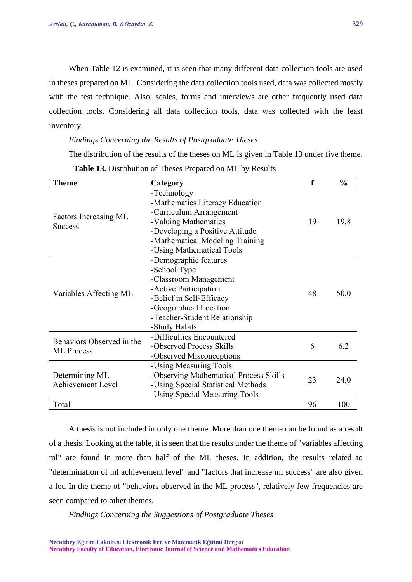When Table 12 is examined, it is seen that many different data collection tools are used in theses prepared on ML. Considering the data collection tools used, data was collected mostly with the test technique. Also; scales, forms and interviews are other frequently used data collection tools. Considering all data collection tools, data was collected with the least inventory.

### *Findings Concerning the Results of Postgraduate Theses*

The distribution of the results of the theses on ML is given in Table 13 under five theme. **Table 13.** Distribution of Theses Prepared on ML by Results

| Theme                                          | Category                               | f  | $\frac{0}{0}$ |
|------------------------------------------------|----------------------------------------|----|---------------|
| Factors Increasing ML<br><b>Success</b>        | -Technology                            |    | 19,8          |
|                                                | -Mathematics Literacy Education        |    |               |
|                                                | -Curriculum Arrangement                |    |               |
|                                                | -Valuing Mathematics                   | 19 |               |
|                                                | -Developing a Positive Attitude        |    |               |
|                                                | -Mathematical Modeling Training        |    |               |
|                                                | -Using Mathematical Tools              |    |               |
|                                                | -Demographic features                  |    |               |
|                                                | -School Type                           |    | 50,0          |
|                                                | -Classroom Management                  |    |               |
|                                                | -Active Participation                  | 48 |               |
| Variables Affecting ML                         | -Belief in Self-Efficacy               |    |               |
|                                                | -Geographical Location                 |    |               |
|                                                | -Teacher-Student Relationship          |    |               |
|                                                | -Study Habits                          |    |               |
| Behaviors Observed in the<br><b>ML</b> Process | -Difficulties Encountered              |    |               |
|                                                | -Observed Process Skills               | 6  | 6,2           |
|                                                | -Observed Misconceptions               |    |               |
|                                                | -Using Measuring Tools                 |    | 24,0          |
| Determining ML                                 | -Observing Mathematical Process Skills | 23 |               |
| <b>Achievement Level</b>                       | -Using Special Statistical Methods     |    |               |
|                                                | -Using Special Measuring Tools         |    |               |
| Total                                          |                                        | 96 | 100           |

A thesis is not included in only one theme. More than one theme can be found as a result of a thesis. Looking at the table, it is seen that the results under the theme of "variables affecting ml" are found in more than half of the ML theses. In addition, the results related to "determination of ml achievement level" and "factors that increase ml success" are also given a lot. In the theme of "behaviors observed in the ML process", relatively few frequencies are seen compared to other themes.

*Findings Concerning the Suggestions of Postgraduate Theses*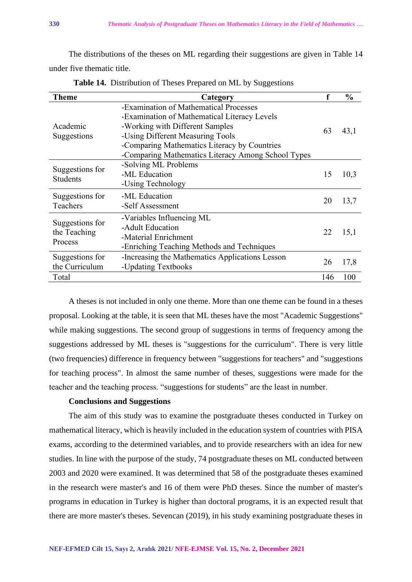The distributions of the theses on ML regarding their suggestions are given in Table 14 under five thematic title.

| <b>Theme</b>                               | Category                                                                                                                                                                                                                                                            |     | $\frac{0}{0}$ |
|--------------------------------------------|---------------------------------------------------------------------------------------------------------------------------------------------------------------------------------------------------------------------------------------------------------------------|-----|---------------|
| Academic<br>Suggestions                    | -Examination of Mathematical Processes<br>-Examination of Mathematical Literacy Levels<br>-Working with Different Samples<br>-Using Different Measuring Tools<br>-Comparing Mathematics Literacy by Countries<br>-Comparing Mathematics Literacy Among School Types | 63  | 43,1          |
| Suggestions for<br><b>Students</b>         | -Solving ML Problems<br>-ML Education<br>-Using Technology                                                                                                                                                                                                          | 15  | 10,3          |
| Suggestions for<br>Teachers                | -ML Education<br>-Self Assessment                                                                                                                                                                                                                                   | 20  | 13,7          |
| Suggestions for<br>the Teaching<br>Process | -Variables Influencing ML<br>-Adult Education<br>-Material Enrichment<br>-Enriching Teaching Methods and Techniques                                                                                                                                                 | 22  | 15,1          |
| Suggestions for<br>the Curriculum          | -Increasing the Mathematics Applications Lesson<br>-Updating Textbooks                                                                                                                                                                                              | 26  | 17,8          |
| Total                                      |                                                                                                                                                                                                                                                                     | 146 | 100           |

**Table 14.** Distribution of Theses Prepared on ML by Suggestions

A theses is not included in only one theme. More than one theme can be found in a theses proposal. Looking at the table, it is seen that ML theses have the most "Academic Suggestions" while making suggestions. The second group of suggestions in terms of frequency among the suggestions addressed by ML theses is "suggestions for the curriculum". There is very little (two frequencies) difference in frequency between "suggestions for teachers" and "suggestions for teaching process". In almost the same number of theses, suggestions were made for the teacher and the teaching process. "suggestions for students" are the least in number.

# **Conclusions and Suggestions**

The aim of this study was to examine the postgraduate theses conducted in Turkey on mathematical literacy, which is heavily included in the education system of countries with PISA exams, according to the determined variables, and to provide researchers with an idea for new studies. In line with the purpose of the study, 74 postgraduate theses on ML conducted between 2003 and 2020 were examined. It was determined that 58 of the postgraduate theses examined in the research were master's and 16 of them were PhD theses. Since the number of master's programs in education in Turkey is higher than doctoral programs, it is an expected result that there are more master's theses. Sevencan (2019), in his study examining postgraduate theses in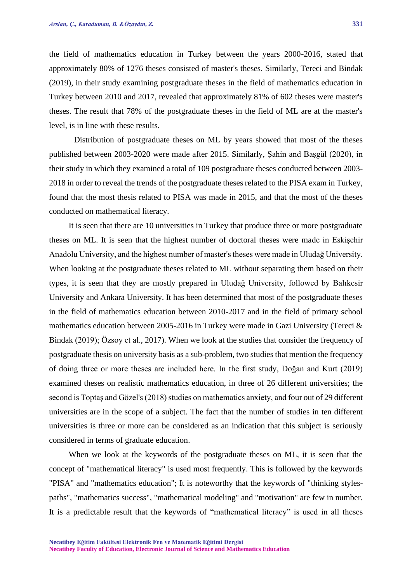the field of mathematics education in Turkey between the years 2000-2016, stated that approximately 80% of 1276 theses consisted of master's theses. Similarly, Tereci and Bindak (2019), in their study examining postgraduate theses in the field of mathematics education in Turkey between 2010 and 2017, revealed that approximately 81% of 602 theses were master's theses. The result that 78% of the postgraduate theses in the field of ML are at the master's level, is in line with these results.

Distribution of postgraduate theses on ML by years showed that most of the theses published between 2003-2020 were made after 2015. Similarly, Şahin and Başgül (2020), in their study in which they examined a total of 109 postgraduate theses conducted between 2003- 2018 in order to reveal the trends of the postgraduate theses related to the PISA exam in Turkey, found that the most thesis related to PISA was made in 2015, and that the most of the theses conducted on mathematical literacy.

It is seen that there are 10 universities in Turkey that produce three or more postgraduate theses on ML. It is seen that the highest number of doctoral theses were made in Eskişehir Anadolu University, and the highest number of master's theses were made in Uludağ University. When looking at the postgraduate theses related to ML without separating them based on their types, it is seen that they are mostly prepared in Uludağ University, followed by Balıkesir University and Ankara University. It has been determined that most of the postgraduate theses in the field of mathematics education between 2010-2017 and in the field of primary school mathematics education between 2005-2016 in Turkey were made in Gazi University (Tereci & Bindak (2019); Özsoy et al., 2017). When we look at the studies that consider the frequency of postgraduate thesis on university basis as a sub-problem, two studies that mention the frequency of doing three or more theses are included here. In the first study, Doğan and Kurt (2019) examined theses on realistic mathematics education, in three of 26 different universities; the second is Toptaş and Gözel's (2018) studies on mathematics anxiety, and four out of 29 different universities are in the scope of a subject. The fact that the number of studies in ten different universities is three or more can be considered as an indication that this subject is seriously considered in terms of graduate education.

When we look at the keywords of the postgraduate theses on ML, it is seen that the concept of "mathematical literacy" is used most frequently. This is followed by the keywords "PISA" and "mathematics education"; It is noteworthy that the keywords of "thinking stylespaths", "mathematics success", "mathematical modeling" and "motivation" are few in number. It is a predictable result that the keywords of "mathematical literacy" is used in all theses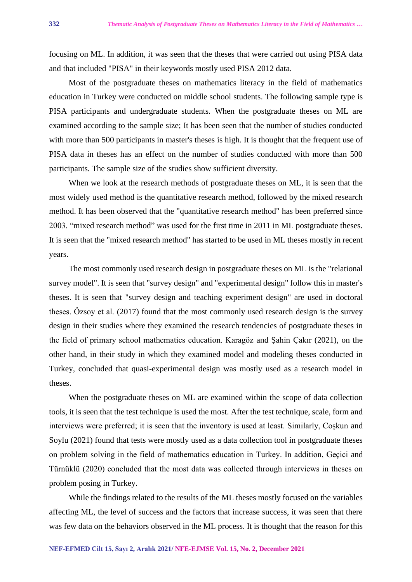focusing on ML. In addition, it was seen that the theses that were carried out using PISA data and that included "PISA" in their keywords mostly used PISA 2012 data.

Most of the postgraduate theses on mathematics literacy in the field of mathematics education in Turkey were conducted on middle school students. The following sample type is PISA participants and undergraduate students. When the postgraduate theses on ML are examined according to the sample size; It has been seen that the number of studies conducted with more than 500 participants in master's theses is high. It is thought that the frequent use of PISA data in theses has an effect on the number of studies conducted with more than 500 participants. The sample size of the studies show sufficient diversity.

When we look at the research methods of postgraduate theses on ML, it is seen that the most widely used method is the quantitative research method, followed by the mixed research method. It has been observed that the "quantitative research method" has been preferred since 2003. "mixed research method" was used for the first time in 2011 in ML postgraduate theses. It is seen that the "mixed research method" has started to be used in ML theses mostly in recent years.

The most commonly used research design in postgraduate theses on ML is the "relational survey model". It is seen that "survey design" and "experimental design" follow this in master's theses. It is seen that "survey design and teaching experiment design" are used in doctoral theses. Özsoy et al. (2017) found that the most commonly used research design is the survey design in their studies where they examined the research tendencies of postgraduate theses in the field of primary school mathematics education. Karagöz and Şahin Çakır (2021), on the other hand, in their study in which they examined model and modeling theses conducted in Turkey, concluded that quasi-experimental design was mostly used as a research model in theses.

When the postgraduate theses on ML are examined within the scope of data collection tools, it is seen that the test technique is used the most. After the test technique, scale, form and interviews were preferred; it is seen that the inventory is used at least. Similarly, Coşkun and Soylu (2021) found that tests were mostly used as a data collection tool in postgraduate theses on problem solving in the field of mathematics education in Turkey. In addition, Geçici and Türnüklü (2020) concluded that the most data was collected through interviews in theses on problem posing in Turkey.

While the findings related to the results of the ML theses mostly focused on the variables affecting ML, the level of success and the factors that increase success, it was seen that there was few data on the behaviors observed in the ML process. It is thought that the reason for this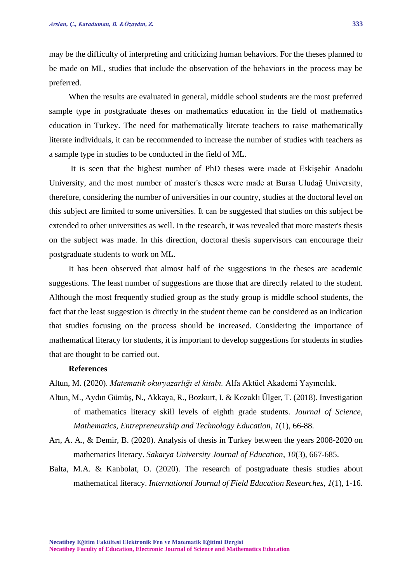may be the difficulty of interpreting and criticizing human behaviors. For the theses planned to be made on ML, studies that include the observation of the behaviors in the process may be preferred.

When the results are evaluated in general, middle school students are the most preferred sample type in postgraduate theses on mathematics education in the field of mathematics education in Turkey. The need for mathematically literate teachers to raise mathematically literate individuals, it can be recommended to increase the number of studies with teachers as a sample type in studies to be conducted in the field of ML.

It is seen that the highest number of PhD theses were made at Eskişehir Anadolu University, and the most number of master's theses were made at Bursa Uludağ University, therefore, considering the number of universities in our country, studies at the doctoral level on this subject are limited to some universities. It can be suggested that studies on this subject be extended to other universities as well. In the research, it was revealed that more master's thesis on the subject was made. In this direction, doctoral thesis supervisors can encourage their postgraduate students to work on ML.

It has been observed that almost half of the suggestions in the theses are academic suggestions. The least number of suggestions are those that are directly related to the student. Although the most frequently studied group as the study group is middle school students, the fact that the least suggestion is directly in the student theme can be considered as an indication that studies focusing on the process should be increased. Considering the importance of mathematical literacy for students, it is important to develop suggestions for students in studies that are thought to be carried out.

### **References**

Altun, M. (2020). *Matematik okuryazarlığı el kitabı.* Alfa Aktüel Akademi Yayıncılık.

- Altun, M., Aydın Gümüş, N., Akkaya, R., Bozkurt, I. & Kozaklı Ülger, T. (2018). Investigation of mathematics literacy skill levels of eighth grade students. *Journal of Science, Mathematics, Entrepreneurship and Technology Education*, *1*(1), 66-88.
- Arı, A. A., & Demir, B. (2020). Analysis of thesis in Turkey between the years 2008-2020 on mathematics literacy. *Sakarya University Journal of Education*, *10*(3), 667-685.
- Balta, M.A. & Kanbolat, O. (2020). The research of postgraduate thesis studies about mathematical literacy. *International Journal of Field Education Researches*, *1*(1), 1-16.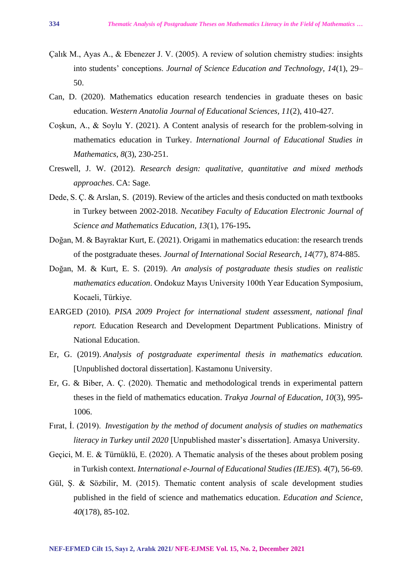- Çalık M., Ayas A., & Ebenezer J. V. (2005). A review of solution chemistry studies: insights into students' conceptions. *Journal of Science Education and Technology, 14*(1), 29– 50.
- Can, D. (2020). Mathematics education research tendencies in graduate theses on basic education. *Western Anatolia Journal of Educational Sciences, 11*(2), 410-427.
- Coşkun, A., & Soylu Y. (2021). A Content analysis of research for the problem-solving in mathematics education in Turkey. *International Journal of Educational Studies in Mathematics*, *8*(3), 230-251.
- Creswell, J. W. (2012). *Research design: qualitative, quantitative and mixed methods approaches*. CA: Sage.
- Dede, S. Ç. & Arslan, S. (2019). Review of the articles and thesis conducted on math textbooks in Turkey between 2002-2018. *Necatibey Faculty of Education Electronic Journal of Science and Mathematics Education, 13*(1), 176-195**.**
- Doğan, M. & Bayraktar Kurt, E. (2021). Origami in mathematics education: the research trends of the postgraduate theses. *Journal of International Social Research*, *14*(77), 874-885.
- Doğan, M. & Kurt, E. S. (2019). *An analysis of postgraduate thesis studies on realistic mathematics education*. Ondokuz Mayıs University 100th Year Education Symposium, Kocaeli, Türkiye.
- EARGED (2010). *PISA 2009 Project for international student assessment, national final report.* Education Research and Development Department Publications. Ministry of National Education.
- Er, G. (2019). *Analysis of postgraduate experimental thesis in mathematics education.*  [Unpublished doctoral dissertation]. Kastamonu University.
- Er, G. & Biber, A. Ç. (2020). Thematic and methodological trends in experimental pattern theses in the field of mathematics education. *Trakya Journal of Education, 10*(3), 995- 1006.
- Fırat, İ. (2019). *Investigation by the method of document analysis of studies on mathematics literacy in Turkey until 2020* [Unpublished master's dissertation]. Amasya University.
- Geçici, M. E. & Türnüklü, E. (2020). A Thematic analysis of the theses about problem posing in Turkish context. *International e-Journal of Educational Studies (IEJES*). *4*(7), 56-69.
- Gül, Ş. & Sözbilir, M. (2015). Thematic content analysis of scale development studies published in the field of science and mathematics education. *Education and Science, 40*(178), 85-102.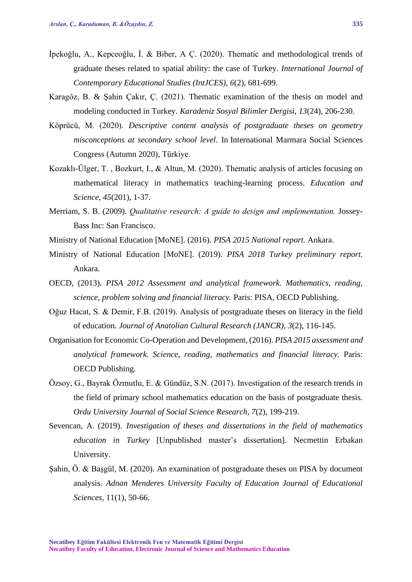- İpekoğlu, A., Kepceoğlu, İ. & Biber, A Ç. (2020). Thematic and methodological trends of graduate theses related to spatial ability: the case of Turkey. *International Journal of Contemporary Educational Studies (IntJCES), 6*(2), 681-699.
- Karagöz, B. & Şahin Çakır, Ç. (2021). Thematic examination of the thesis on model and modeling conducted in Turkey. *Karadeniz Sosyal Bilimler Dergisi, 13*(24), 206-230.
- Köprücü, M. (2020). *Descriptive content analysis of postgraduate theses on geometry misconceptions at secondary school level*. In International Marmara Social Sciences Congress (Autumn 2020), Türkiye.
- Kozaklı-Ülger, T. , Bozkurt, I., & Altun, M. (2020). Thematic analysis of articles focusing on mathematical literacy in mathematics teaching-learning process. *Education and Science*, *45*(201), 1-37.
- Merriam, S. B. (2009). *Qualitative research: A guide to design and ımplementation.* Jossey-Bass Inc: San Francisco.
- Ministry of National Education [MoNE]. (2016). *PISA 2015 National report.* Ankara.
- Ministry of National Education [MoNE]. (2019). *PISA 2018 Turkey preliminary report.* Ankara.
- OECD, (2013). *PISA 2012 Assessment and analytical framework. Mathematics, reading, science, problem solving and financial literacy.* Paris: PISA, OECD Publishing.
- Oğuz Hacat, S. & Demir, F.B. (2019). Analysis of postgraduate theses on literacy in the field of education. *Journal of Anatolian Cultural Research (JANCR)*, *3*(2), 116-145.
- Organisation for Economic Co-Operation and Development, (2016). *PISA 2015 assessment and analytical framework. Science, reading, mathematics and financial literacy.* Paris: OECD Publishing.
- Özsoy, G., Bayrak Özmutlu, E. & Gündüz, S.N. (2017). Investigation of the research trends in the field of primary school mathematics education on the basis of postgraduate thesis. *Ordu University Journal of Social Science Research, 7*(2), 199-219.
- Sevencan, A. (2019). *Investigation of theses and dissertations in the field of mathematics education in Turkey* [Unpublished master's dissertation]. Necmettin Erbakan University.
- Şahin, Ö. & Başgül, M. (2020). An examination of postgraduate theses on PISA by document analysis. *Adnan Menderes University Faculty of Education Journal of Educational Sciences*, 11(1), 50-66.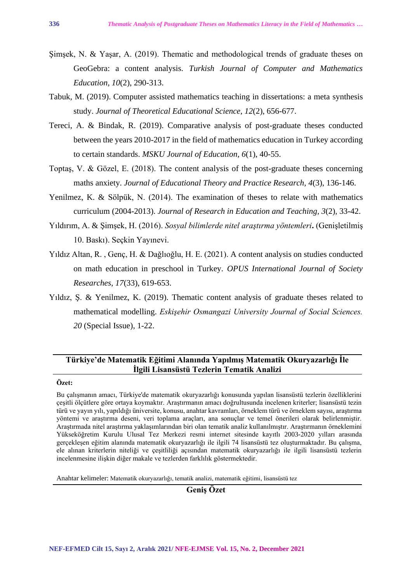- Şimşek, N. & Yaşar, A. (2019). Thematic and methodological trends of graduate theses on GeoGebra: a content analysis. *Turkish Journal of Computer and Mathematics Education, 10*(2), 290-313.
- Tabuk, M. (2019). Computer assisted mathematics teaching in dissertations: a meta synthesis study. *Journal of Theoretical Educational Science, 12*(2), 656-677.
- Tereci, A. & Bindak, R. (2019). Comparative analysis of post-graduate theses conducted between the years 2010-2017 in the field of mathematics education in Turkey according to certain standards. *MSKU Journal of Education, 6*(1), 40-55.
- Toptaş, V. & Gözel, E. (2018). The content analysis of the post-graduate theses concerning maths anxiety. *Journal of Educational Theory and Practice Research, 4*(3), 136-146.
- Yenilmez, K. & Sölpük, N. (2014). The examination of theses to relate with mathematics curriculum (2004-2013). *Journal of Research in Education and Teaching, 3*(2), 33-42.
- Yıldırım, A. & Şimşek, H. (2016). *Sosyal bilimlerde nitel araştırma yöntemleri***.** (Genişletilmiş 10. Baskı). Seçkin Yayınevi.
- Yıldız Altan, R. , Genç, H. & Dağlıoğlu, H. E. (2021). A content analysis on studies conducted on math education in preschool in Turkey. *OPUS International Journal of Society Researches*, *17*(33), 619-653.
- Yıldız, Ş. & Yenilmez, K. (2019). Thematic content analysis of graduate theses related to mathematical modelling. *Eskişehir Osmangazi University Journal of Social Sciences. 20* (Special Issue), 1-22.

# **Türkiye'de Matematik Eğitimi Alanında Yapılmış Matematik Okuryazarlığı İle İlgili Lisansüstü Tezlerin Tematik Analizi**

# **Özet:**

Bu çalışmanın amacı, Türkiye'de matematik okuryazarlığı konusunda yapılan lisansüstü tezlerin özelliklerini çeşitli ölçütlere göre ortaya koymaktır. Araştırmanın amacı doğrultusunda incelenen kriterler; lisansüstü tezin türü ve yayın yılı, yapıldığı üniversite, konusu, anahtar kavramları, örneklem türü ve örneklem sayısı, araştırma yöntemi ve araştırma deseni, veri toplama araçları, ana sonuçlar ve temel önerileri olarak belirlenmiştir. Araştırmada nitel araştırma yaklaşımlarından biri olan tematik analiz kullanılmıştır. Araştırmanın örneklemini Yükseköğretim Kurulu Ulusal Tez Merkezi resmi internet sitesinde kayıtlı 2003-2020 yılları arasında gerçekleşen eğitim alanında matematik okuryazarlığı ile ilgili 74 lisansüstü tez oluşturmaktadır. Bu çalışma, ele alınan kriterlerin niteliği ve çeşitliliği açısından matematik okuryazarlığı ile ilgili lisansüstü tezlerin incelenmesine ilişkin diğer makale ve tezlerden farklılık göstermektedir.

Anahtar kelimeler: Matematik okuryazarlığı, tematik analizi, matematik eğitimi, lisansüstü tez

**Geniş Özet**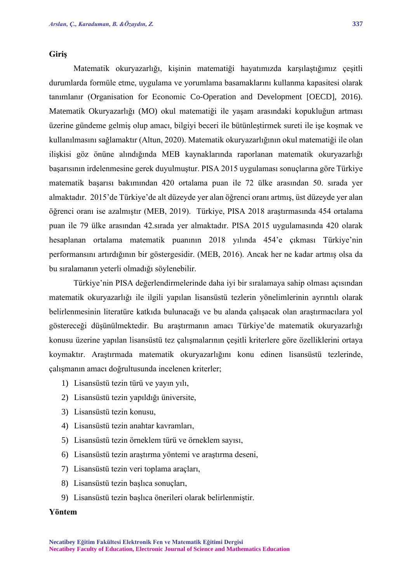### **Giriş**

Matematik okuryazarlığı, kişinin matematiği hayatımızda karşılaştığımız çeşitli durumlarda formüle etme, uygulama ve yorumlama basamaklarını kullanma kapasitesi olarak tanımlanır (Organisation for Economic Co-Operation and Development [OECD], 2016). Matematik Okuryazarlığı (MO) okul matematiği ile yaşam arasındaki kopukluğun artması üzerine gündeme gelmiş olup amacı, bilgiyi beceri ile bütünleştirmek sureti ile işe koşmak ve kullanılmasını sağlamaktır (Altun, 2020). Matematik okuryazarlığının okul matematiği ile olan ilişkisi göz önüne alındığında MEB kaynaklarında raporlanan matematik okuryazarlığı başarısının irdelenmesine gerek duyulmuştur. PISA 2015 uygulaması sonuçlarına göre Türkiye matematik başarısı bakımından 420 ortalama puan ile 72 ülke arasından 50. sırada yer almaktadır. 2015'de Türkiye'de alt düzeyde yer alan öğrenci oranı artmış, üst düzeyde yer alan öğrenci oranı ise azalmıştır (MEB, 2019). Türkiye, PISA 2018 araştırmasında 454 ortalama puan ile 79 ülke arasından 42.sırada yer almaktadır. PISA 2015 uygulamasında 420 olarak hesaplanan ortalama matematik puanının 2018 yılında 454'e çıkması Türkiye'nin performansını artırdığının bir göstergesidir. (MEB, 2016). Ancak her ne kadar artmış olsa da bu sıralamanın yeterli olmadığı söylenebilir.

Türkiye'nin PISA değerlendirmelerinde daha iyi bir sıralamaya sahip olması açısından matematik okuryazarlığı ile ilgili yapılan lisansüstü tezlerin yönelimlerinin ayrıntılı olarak belirlenmesinin literatüre katkıda bulunacağı ve bu alanda çalışacak olan araştırmacılara yol göstereceği düşünülmektedir. Bu araştırmanın amacı Türkiye'de matematik okuryazarlığı konusu üzerine yapılan lisansüstü tez çalışmalarının çeşitli kriterlere göre özelliklerini ortaya koymaktır. Araştırmada matematik okuryazarlığını konu edinen lisansüstü tezlerinde, çalışmanın amacı doğrultusunda incelenen kriterler;

- 1) Lisansüstü tezin türü ve yayın yılı,
- 2) Lisansüstü tezin yapıldığı üniversite,
- 3) Lisansüstü tezin konusu,
- 4) Lisansüstü tezin anahtar kavramları,
- 5) Lisansüstü tezin örneklem türü ve örneklem sayısı,
- 6) Lisansüstü tezin araştırma yöntemi ve araştırma deseni,
- 7) Lisansüstü tezin veri toplama araçları,
- 8) Lisansüstü tezin başlıca sonuçları,
- 9) Lisansüstü tezin başlıca önerileri olarak belirlenmiştir.

# **Yöntem**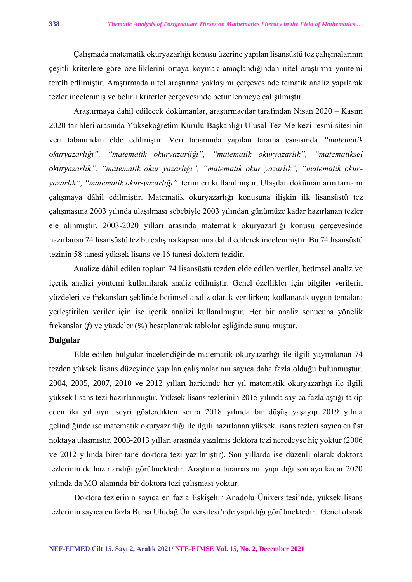Çalışmada matematik okuryazarlığı konusu üzerine yapılan lisansüstü tez çalışmalarının çeşitli kriterlere göre özelliklerini ortaya koymak amaçlandığından nitel araştırma yöntemi tercih edilmiştir. Araştırmada nitel araştırma yaklaşımı çerçevesinde tematik analiz yapılarak tezler incelenmiş ve belirli kriterler çerçevesinde betimlenmeye çalışılmıştır.

Araştırmaya dahil edilecek dokümanlar, araştırmacılar tarafından Nisan 2020 – Kasım 2020 tarihleri arasında Yükseköğretim Kurulu Başkanlığı Ulusal Tez Merkezi resmî sitesinin veri tabanından elde edilmiştir. Veri tabanında yapılan tarama esnasında *"matematik okuryazarlığı", "matematik okuryazarliği", "matematik okuryazarlık", "matematiksel okuryazarlık", "matematik okur yazarlığı", "matematik okur yazarlık", "matematik okuryazarlık", "matematik okur-yazarlığı"* terimleri kullanılmıştır. Ulaşılan dokümanların tamamı çalışmaya dâhil edilmiştir. Matematik okuryazarlığı konusuna ilişkin ilk lisansüstü tez çalışmasına 2003 yılında ulaşılması sebebiyle 2003 yılından günümüze kadar hazırlanan tezler ele alınmıştır. 2003-2020 yılları arasında matematik okuryazarlığı konusu çerçevesinde hazırlanan 74 lisansüstü tez bu çalışma kapsamına dahil edilerek incelenmiştir. Bu 74 lisansüstü tezinin 58 tanesi yüksek lisans ve 16 tanesi doktora tezidir.

Analize dâhil edilen toplam 74 lisansüstü tezden elde edilen veriler, betimsel analiz ve içerik analizi yöntemi kullanılarak analiz edilmiştir. Genel özellikler için bilgiler verilerin yüzdeleri ve frekansları şeklinde betimsel analiz olarak verilirken; kodlanarak uygun temalara yerleştirilen veriler için ise içerik analizi kullanılmıştır. Her bir analiz sonucuna yönelik frekanslar (*f*) ve yüzdeler (%) hesaplanarak tablolar eşliğinde sunulmuştur.

# **Bulgular**

Elde edilen bulgular incelendiğinde matematik okuryazarlığı ile ilgili yayımlanan 74 tezden yüksek lisans düzeyinde yapılan çalışmalarının sayıca daha fazla olduğu bulunmuştur. 2004, 2005, 2007, 2010 ve 2012 yılları haricinde her yıl matematik okuryazarlığı ile ilgili yüksek lisans tezi hazırlanmıştır. Yüksek lisans tezlerinin 2015 yılında sayıca fazlalaştığı takip eden iki yıl aynı seyri gösterdikten sonra 2018 yılında bir düşüş yaşayıp 2019 yılına gelindiğinde ise matematik okuryazarlığı ile ilgili hazırlanan yüksek lisans tezleri sayıca en üst noktaya ulaşmıştır. 2003-2013 yılları arasında yazılmış doktora tezi neredeyse hiç yoktur (2006 ve 2012 yılında birer tane doktora tezi yazılmıştır). Son yıllarda ise düzenli olarak doktora tezlerinin de hazırlandığı görülmektedir. Araştırma taramasının yapıldığı son aya kadar 2020 yılında da MO alanında bir doktora tezi çalışması yoktur.

Doktora tezlerinin sayıca en fazla Eskişehir Anadolu Üniversitesi'nde, yüksek lisans tezlerinin sayıca en fazla Bursa Uludağ Üniversitesi'nde yapıldığı görülmektedir. Genel olarak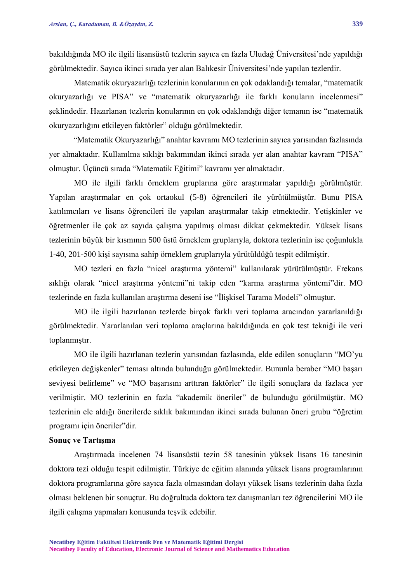bakıldığında MO ile ilgili lisansüstü tezlerin sayıca en fazla Uludağ Üniversitesi'nde yapıldığı görülmektedir. Sayıca ikinci sırada yer alan Balıkesir Üniversitesi'nde yapılan tezlerdir.

Matematik okuryazarlığı tezlerinin konularının en çok odaklandığı temalar, "matematik okuryazarlığı ve PISA" ve "matematik okuryazarlığı ile farklı konuların incelenmesi" şeklindedir. Hazırlanan tezlerin konularının en çok odaklandığı diğer temanın ise "matematik okuryazarlığını etkileyen faktörler" olduğu görülmektedir.

"Matematik Okuryazarlığı" anahtar kavramı MO tezlerinin sayıca yarısından fazlasında yer almaktadır. Kullanılma sıklığı bakımından ikinci sırada yer alan anahtar kavram "PISA" olmuştur. Üçüncü sırada "Matematik Eğitimi" kavramı yer almaktadır.

MO ile ilgili farklı örneklem gruplarına göre araştırmalar yapıldığı görülmüştür. Yapılan araştırmalar en çok ortaokul (5-8) öğrencileri ile yürütülmüştür. Bunu PISA katılımcıları ve lisans öğrencileri ile yapılan araştırmalar takip etmektedir. Yetişkinler ve öğretmenler ile çok az sayıda çalışma yapılmış olması dikkat çekmektedir. Yüksek lisans tezlerinin büyük bir kısmının 500 üstü örneklem gruplarıyla, doktora tezlerinin ise çoğunlukla 1-40, 201-500 kişi sayısına sahip örneklem gruplarıyla yürütüldüğü tespit edilmiştir.

MO tezleri en fazla "nicel araştırma yöntemi" kullanılarak yürütülmüştür. Frekans sıklığı olarak "nicel araştırma yöntemi"ni takip eden "karma araştırma yöntemi"dir. MO tezlerinde en fazla kullanılan araştırma deseni ise "İlişkisel Tarama Modeli" olmuştur.

MO ile ilgili hazırlanan tezlerde birçok farklı veri toplama aracından yararlanıldığı görülmektedir. Yararlanılan veri toplama araçlarına bakıldığında en çok test tekniği ile veri toplanmıştır.

MO ile ilgili hazırlanan tezlerin yarısından fazlasında, elde edilen sonuçların "MO'yu etkileyen değişkenler" teması altında bulunduğu görülmektedir. Bununla beraber "MO başarı seviyesi belirleme" ve "MO başarısını arttıran faktörler" ile ilgili sonuçlara da fazlaca yer verilmiştir. MO tezlerinin en fazla "akademik öneriler" de bulunduğu görülmüştür. MO tezlerinin ele aldığı önerilerde sıklık bakımından ikinci sırada bulunan öneri grubu "öğretim programı için öneriler"dir.

### **Sonuç ve Tartışma**

Araştırmada incelenen 74 lisansüstü tezin 58 tanesinin yüksek lisans 16 tanesinin doktora tezi olduğu tespit edilmiştir. Türkiye de eğitim alanında yüksek lisans programlarının doktora programlarına göre sayıca fazla olmasından dolayı yüksek lisans tezlerinin daha fazla olması beklenen bir sonuçtur. Bu doğrultuda doktora tez danışmanları tez öğrencilerini MO ile ilgili çalışma yapmaları konusunda teşvik edebilir.